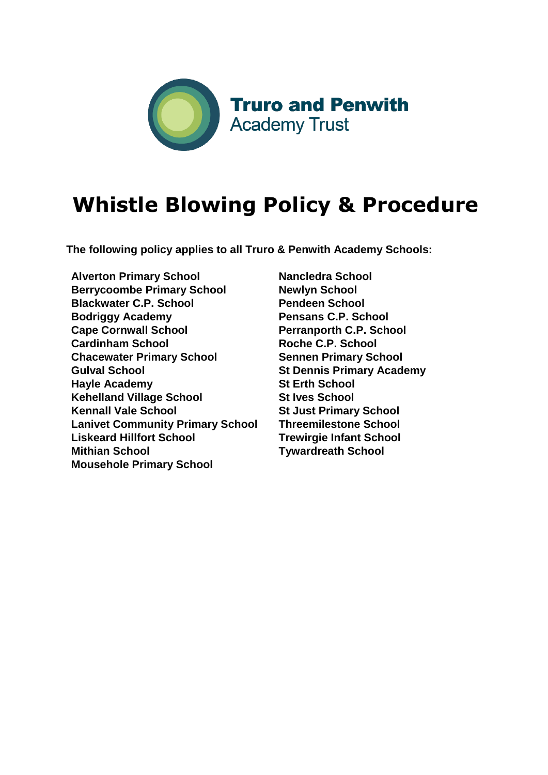

# **Whistle Blowing Policy & Procedure**

**The following policy applies to all Truro & Penwith Academy Schools:** 

**Alverton Primary School Berrycoombe Primary School Blackwater C.P. School Bodriggy Academy Cape Cornwall School Cardinham School Chacewater Primary School Gulval School Hayle Academy Kehelland Village School Kennall Vale School Lanivet Community Primary School Liskeard Hillfort School Mithian School Mousehole Primary School**

**Nancledra School Newlyn School Pendeen School Pensans C.P. School Perranporth C.P. School Roche C.P. School Sennen Primary School St Dennis Primary Academy St Erth School St Ives School St Just Primary School Threemilestone School Trewirgie Infant School Tywardreath School**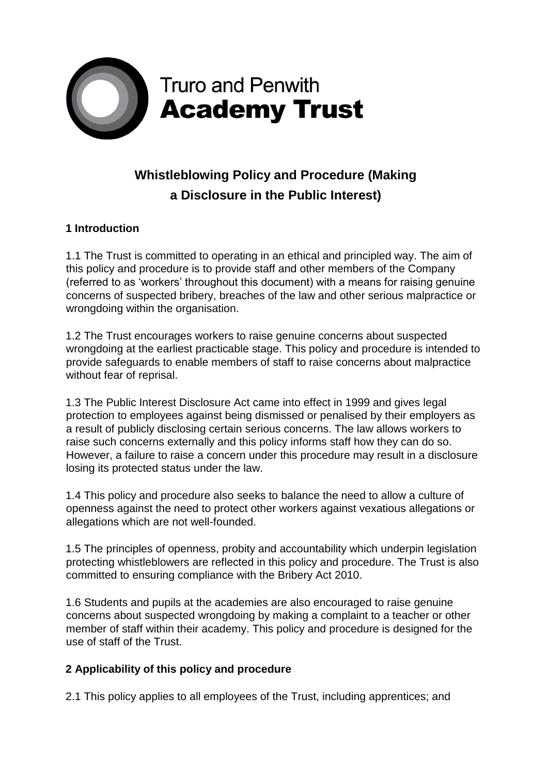

# **Whistleblowing Policy and Procedure (Making a Disclosure in the Public Interest)**

# **1 Introduction**

1.1 The Trust is committed to operating in an ethical and principled way. The aim of this policy and procedure is to provide staff and other members of the Company (referred to as 'workers' throughout this document) with a means for raising genuine concerns of suspected bribery, breaches of the law and other serious malpractice or wrongdoing within the organisation.

1.2 The Trust encourages workers to raise genuine concerns about suspected wrongdoing at the earliest practicable stage. This policy and procedure is intended to provide safeguards to enable members of staff to raise concerns about malpractice without fear of reprisal.

1.3 The Public Interest Disclosure Act came into effect in 1999 and gives legal protection to employees against being dismissed or penalised by their employers as a result of publicly disclosing certain serious concerns. The law allows workers to raise such concerns externally and this policy informs staff how they can do so. However, a failure to raise a concern under this procedure may result in a disclosure losing its protected status under the law.

1.4 This policy and procedure also seeks to balance the need to allow a culture of openness against the need to protect other workers against vexatious allegations or allegations which are not well-founded.

1.5 The principles of openness, probity and accountability which underpin legislation protecting whistleblowers are reflected in this policy and procedure. The Trust is also committed to ensuring compliance with the Bribery Act 2010.

1.6 Students and pupils at the academies are also encouraged to raise genuine concerns about suspected wrongdoing by making a complaint to a teacher or other member of staff within their academy. This policy and procedure is designed for the use of staff of the Trust.

# **2 Applicability of this policy and procedure**

2.1 This policy applies to all employees of the Trust, including apprentices; and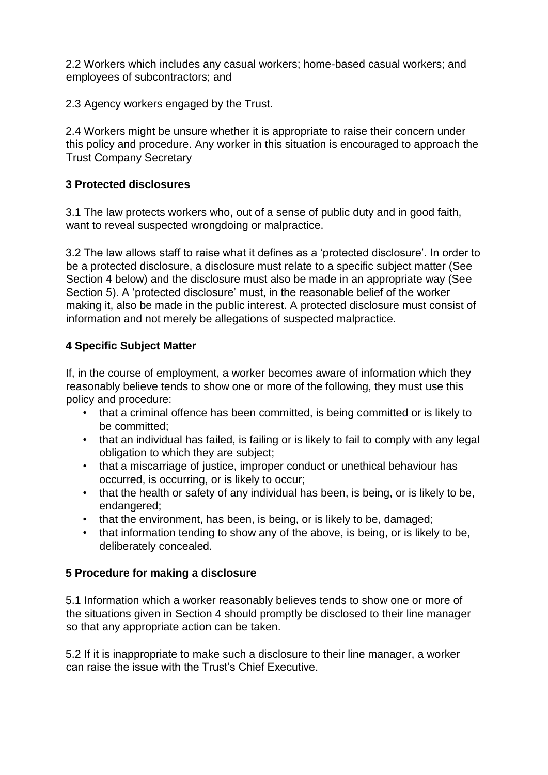2.2 Workers which includes any casual workers; home-based casual workers; and employees of subcontractors; and

2.3 Agency workers engaged by the Trust.

2.4 Workers might be unsure whether it is appropriate to raise their concern under this policy and procedure. Any worker in this situation is encouraged to approach the Trust Company Secretary

# **3 Protected disclosures**

3.1 The law protects workers who, out of a sense of public duty and in good faith, want to reveal suspected wrongdoing or malpractice.

3.2 The law allows staff to raise what it defines as a 'protected disclosure'. In order to be a protected disclosure, a disclosure must relate to a specific subject matter (See Section 4 below) and the disclosure must also be made in an appropriate way (See Section 5). A 'protected disclosure' must, in the reasonable belief of the worker making it, also be made in the public interest. A protected disclosure must consist of information and not merely be allegations of suspected malpractice.

# **4 Specific Subject Matter**

If, in the course of employment, a worker becomes aware of information which they reasonably believe tends to show one or more of the following, they must use this policy and procedure:

- that a criminal offence has been committed, is being committed or is likely to be committed;
- that an individual has failed, is failing or is likely to fail to comply with any legal obligation to which they are subject;
- that a miscarriage of justice, improper conduct or unethical behaviour has occurred, is occurring, or is likely to occur;
- that the health or safety of any individual has been, is being, or is likely to be, endangered;
- that the environment, has been, is being, or is likely to be, damaged;
- that information tending to show any of the above, is being, or is likely to be, deliberately concealed.

# **5 Procedure for making a disclosure**

5.1 Information which a worker reasonably believes tends to show one or more of the situations given in Section 4 should promptly be disclosed to their line manager so that any appropriate action can be taken.

5.2 If it is inappropriate to make such a disclosure to their line manager, a worker can raise the issue with the Trust's Chief Executive.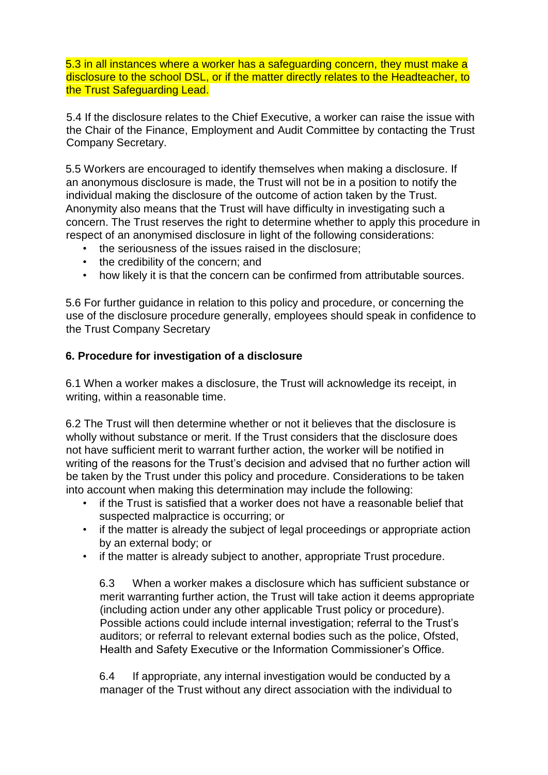5.3 in all instances where a worker has a safeguarding concern, they must make a disclosure to the school DSL, or if the matter directly relates to the Headteacher, to the Trust Safeguarding Lead.

5.4 If the disclosure relates to the Chief Executive, a worker can raise the issue with the Chair of the Finance, Employment and Audit Committee by contacting the Trust Company Secretary.

5.5 Workers are encouraged to identify themselves when making a disclosure. If an anonymous disclosure is made, the Trust will not be in a position to notify the individual making the disclosure of the outcome of action taken by the Trust. Anonymity also means that the Trust will have difficulty in investigating such a concern. The Trust reserves the right to determine whether to apply this procedure in respect of an anonymised disclosure in light of the following considerations:

- the seriousness of the issues raised in the disclosure;
- the credibility of the concern; and
- how likely it is that the concern can be confirmed from attributable sources.

5.6 For further guidance in relation to this policy and procedure, or concerning the use of the disclosure procedure generally, employees should speak in confidence to the Trust Company Secretary

#### **6. Procedure for investigation of a disclosure**

6.1 When a worker makes a disclosure, the Trust will acknowledge its receipt, in writing, within a reasonable time.

6.2 The Trust will then determine whether or not it believes that the disclosure is wholly without substance or merit. If the Trust considers that the disclosure does not have sufficient merit to warrant further action, the worker will be notified in writing of the reasons for the Trust's decision and advised that no further action will be taken by the Trust under this policy and procedure. Considerations to be taken into account when making this determination may include the following:

- if the Trust is satisfied that a worker does not have a reasonable belief that suspected malpractice is occurring; or
- if the matter is already the subject of legal proceedings or appropriate action by an external body; or
- if the matter is already subject to another, appropriate Trust procedure.

6.3 When a worker makes a disclosure which has sufficient substance or merit warranting further action, the Trust will take action it deems appropriate (including action under any other applicable Trust policy or procedure). Possible actions could include internal investigation; referral to the Trust's auditors; or referral to relevant external bodies such as the police, Ofsted, Health and Safety Executive or the Information Commissioner's Office.

6.4 If appropriate, any internal investigation would be conducted by a manager of the Trust without any direct association with the individual to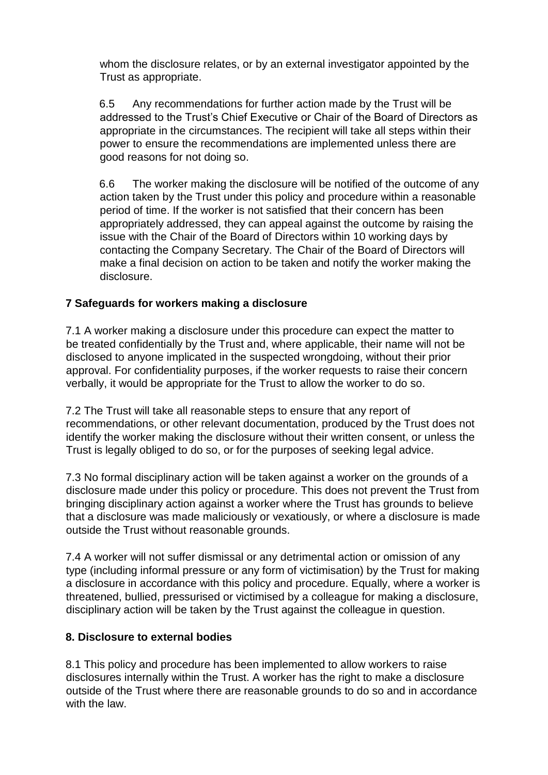whom the disclosure relates, or by an external investigator appointed by the Trust as appropriate.

6.5 Any recommendations for further action made by the Trust will be addressed to the Trust's Chief Executive or Chair of the Board of Directors as appropriate in the circumstances. The recipient will take all steps within their power to ensure the recommendations are implemented unless there are good reasons for not doing so.

6.6 The worker making the disclosure will be notified of the outcome of any action taken by the Trust under this policy and procedure within a reasonable period of time. If the worker is not satisfied that their concern has been appropriately addressed, they can appeal against the outcome by raising the issue with the Chair of the Board of Directors within 10 working days by contacting the Company Secretary. The Chair of the Board of Directors will make a final decision on action to be taken and notify the worker making the disclosure.

# **7 Safeguards for workers making a disclosure**

7.1 A worker making a disclosure under this procedure can expect the matter to be treated confidentially by the Trust and, where applicable, their name will not be disclosed to anyone implicated in the suspected wrongdoing, without their prior approval. For confidentiality purposes, if the worker requests to raise their concern verbally, it would be appropriate for the Trust to allow the worker to do so.

7.2 The Trust will take all reasonable steps to ensure that any report of recommendations, or other relevant documentation, produced by the Trust does not identify the worker making the disclosure without their written consent, or unless the Trust is legally obliged to do so, or for the purposes of seeking legal advice.

7.3 No formal disciplinary action will be taken against a worker on the grounds of a disclosure made under this policy or procedure. This does not prevent the Trust from bringing disciplinary action against a worker where the Trust has grounds to believe that a disclosure was made maliciously or vexatiously, or where a disclosure is made outside the Trust without reasonable grounds.

7.4 A worker will not suffer dismissal or any detrimental action or omission of any type (including informal pressure or any form of victimisation) by the Trust for making a disclosure in accordance with this policy and procedure. Equally, where a worker is threatened, bullied, pressurised or victimised by a colleague for making a disclosure, disciplinary action will be taken by the Trust against the colleague in question.

# **8. Disclosure to external bodies**

8.1 This policy and procedure has been implemented to allow workers to raise disclosures internally within the Trust. A worker has the right to make a disclosure outside of the Trust where there are reasonable grounds to do so and in accordance with the law.